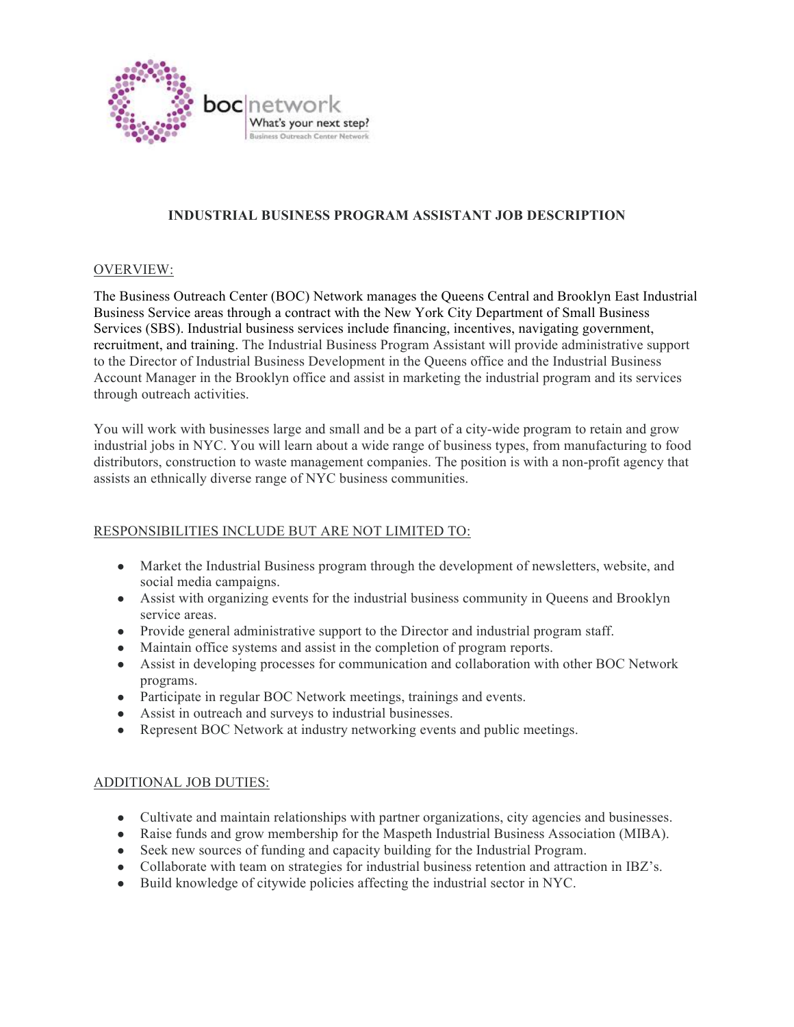

# **INDUSTRIAL BUSINESS PROGRAM ASSISTANT JOB DESCRIPTION**

#### OVERVIEW:

The Business Outreach Center (BOC) Network manages the Queens Central and Brooklyn East Industrial Business Service areas through a contract with the New York City Department of Small Business Services (SBS). Industrial business services include financing, incentives, navigating government, recruitment, and training. The Industrial Business Program Assistant will provide administrative support to the Director of Industrial Business Development in the Queens office and the Industrial Business Account Manager in the Brooklyn office and assist in marketing the industrial program and its services through outreach activities.

You will work with businesses large and small and be a part of a city-wide program to retain and grow industrial jobs in NYC. You will learn about a wide range of business types, from manufacturing to food distributors, construction to waste management companies. The position is with a non-profit agency that assists an ethnically diverse range of NYC business communities.

## RESPONSIBILITIES INCLUDE BUT ARE NOT LIMITED TO:

- Market the Industrial Business program through the development of newsletters, website, and social media campaigns.
- Assist with organizing events for the industrial business community in Queens and Brooklyn service areas.
- Provide general administrative support to the Director and industrial program staff.
- Maintain office systems and assist in the completion of program reports.
- Assist in developing processes for communication and collaboration with other BOC Network programs.
- Participate in regular BOC Network meetings, trainings and events.
- Assist in outreach and surveys to industrial businesses.
- Represent BOC Network at industry networking events and public meetings.

#### ADDITIONAL JOB DUTIES:

- Cultivate and maintain relationships with partner organizations, city agencies and businesses.
- Raise funds and grow membership for the Maspeth Industrial Business Association (MIBA).
- Seek new sources of funding and capacity building for the Industrial Program.
- Collaborate with team on strategies for industrial business retention and attraction in IBZ's.
- Build knowledge of citywide policies affecting the industrial sector in NYC.